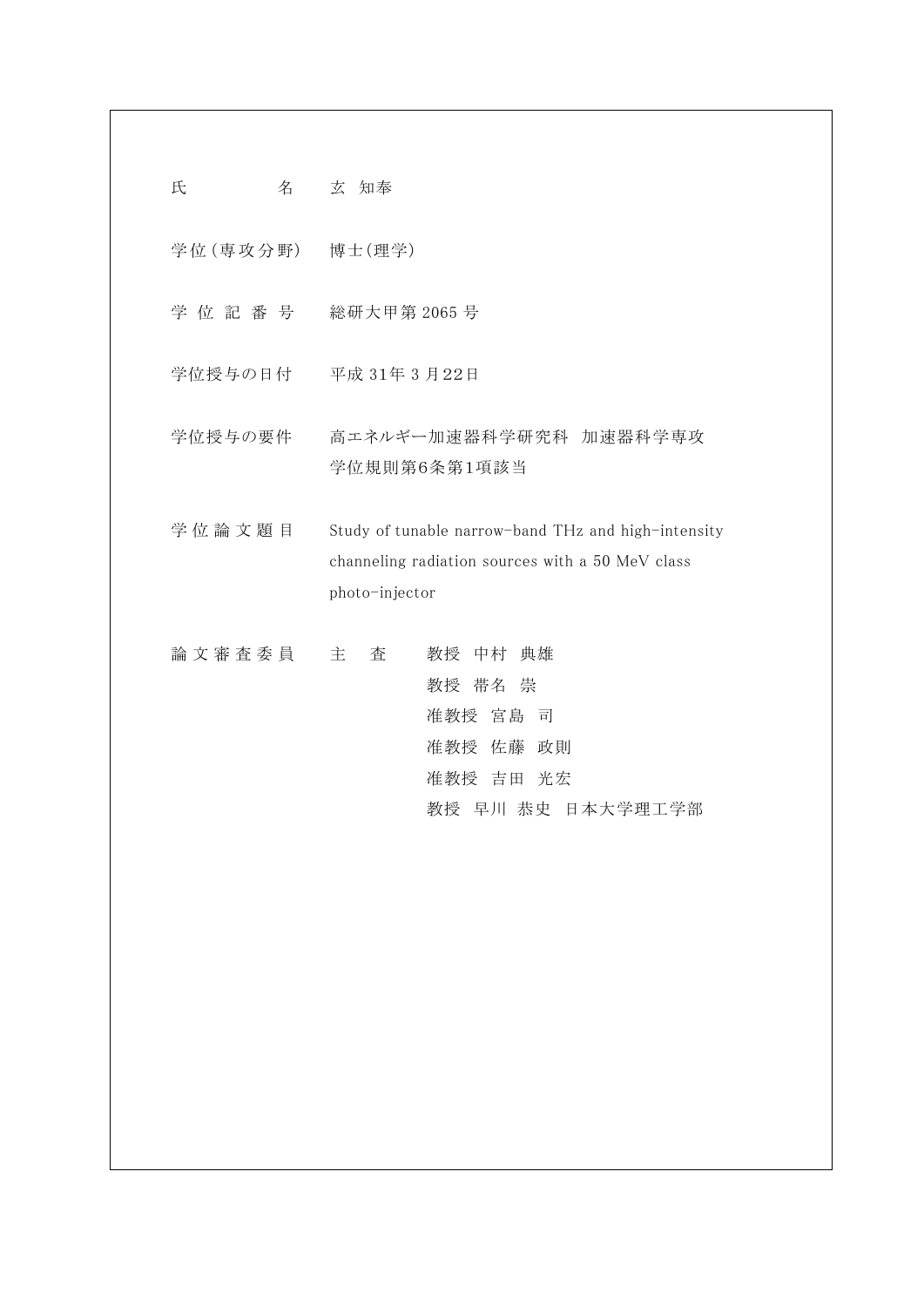| 氏<br>名           | 玄 知奉                                                                                                                      |
|------------------|---------------------------------------------------------------------------------------------------------------------------|
| 学位 (専攻分野) 博士(理学) |                                                                                                                           |
|                  | 学位記番号 総研大甲第2065号                                                                                                          |
|                  | 学位授与の日付 平成 31年 3月22日                                                                                                      |
| 学位授与の要件          | 高エネルギー加速器科学研究科 加速器科学専攻<br>学位規則第6条第1項該当                                                                                    |
| 学位論文題目           | Study of tunable narrow-band THz and high-intensity<br>channeling radiation sources with a 50 MeV class<br>photo-injector |
| 論文審査委員           | 主<br>杳<br>教授 中村 典雄<br>教授 帯名 崇<br>准教授 宮島<br>司<br>准教授 佐藤 政則<br>准教授 吉田 光宏<br>教授 早川 恭史 日本大学理工学部                               |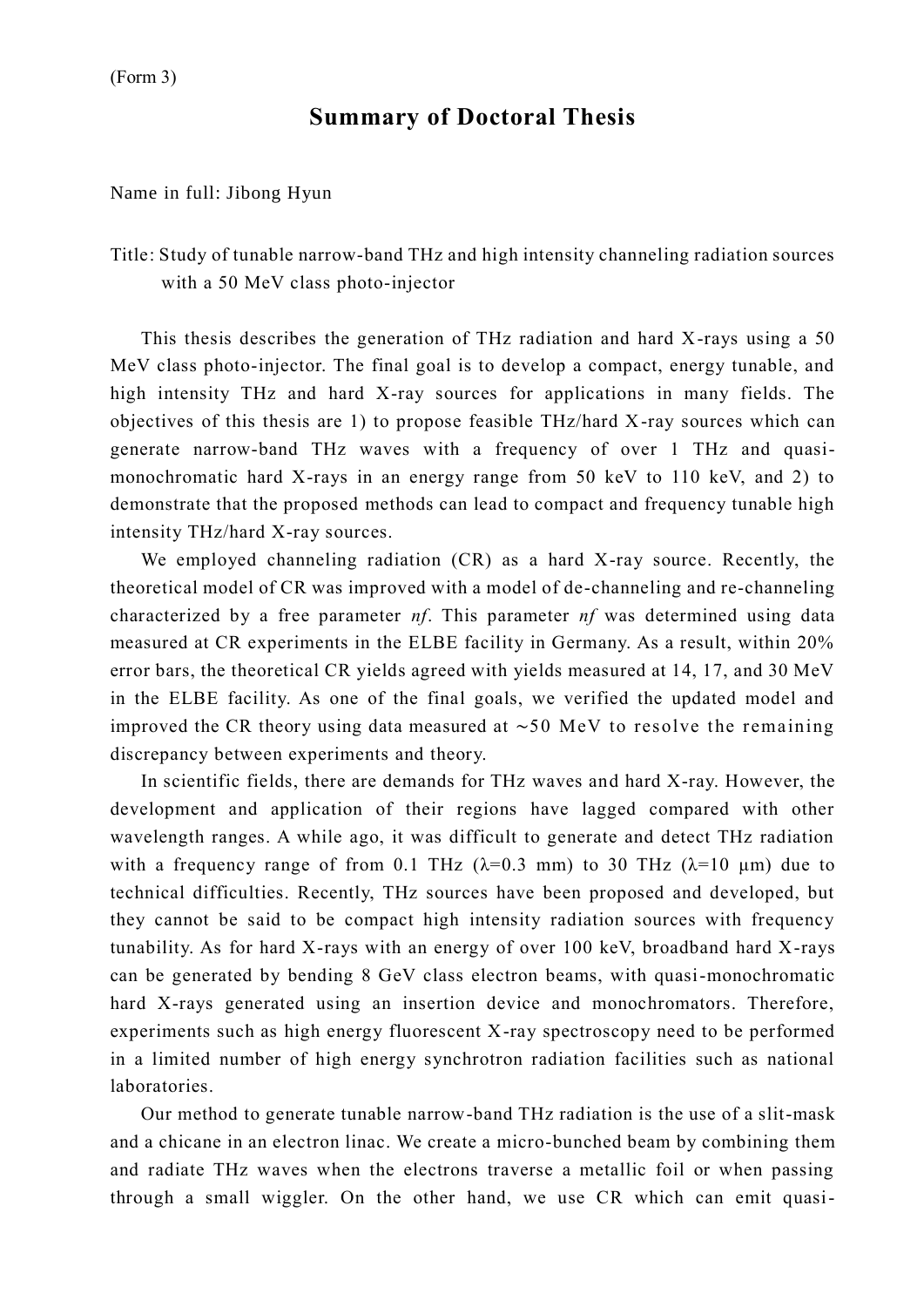## **Summary of Doctoral Thesis**

Name in full: Jibong Hyun

Title: Study of tunable narrow-band THz and high intensity channeling radiation sources with a 50 MeV class photo-injector

This thesis describes the generation of THz radiation and hard X-rays using a 50 MeV class photo-injector. The final goal is to develop a compact, energy tunable, and high intensity THz and hard X-ray sources for applications in many fields. The objectives of this thesis are 1) to propose feasible THz/hard X-ray sources which can generate narrow-band THz waves with a frequency of over 1 THz and quasimonochromatic hard X-rays in an energy range from 50 keV to 110 keV, and 2) to demonstrate that the proposed methods can lead to compact and frequency tunable high intensity THz/hard X-ray sources.

We employed channeling radiation (CR) as a hard X-ray source. Recently, the theoretical model of CR was improved with a model of de-channeling and re-channeling characterized by a free parameter *nf*. This parameter *nf* was determined using data measured at CR experiments in the ELBE facility in Germany. As a result, within 20% error bars, the theoretical CR yields agreed with yields measured at 14, 17, and 30 MeV in the ELBE facility. As one of the final goals, we verified the updated model and improved the CR theory using data measured at ∼50 MeV to resolve the remaining discrepancy between experiments and theory.

In scientific fields, there are demands for THz waves and hard X-ray. However, the development and application of their regions have lagged compared with other wavelength ranges. A while ago, it was difficult to generate and detect THz radiation with a frequency range of from 0.1 THz  $(\lambda=0.3 \text{ mm})$  to 30 THz  $(\lambda=10 \text{ \mu m})$  due to technical difficulties. Recently, THz sources have been proposed and developed, but they cannot be said to be compact high intensity radiation sources with frequency tunability. As for hard X-rays with an energy of over 100 keV, broadband hard X-rays can be generated by bending 8 GeV class electron beams, with quasi-monochromatic hard X-rays generated using an insertion device and monochromators. Therefore, experiments such as high energy fluorescent X-ray spectroscopy need to be performed in a limited number of high energy synchrotron radiation facilities such as national laboratories.

Our method to generate tunable narrow-band THz radiation is the use of a slit-mask and a chicane in an electron linac. We create a micro-bunched beam by combining them and radiate THz waves when the electrons traverse a metallic foil or when passing through a small wiggler. On the other hand, we use CR which can emit quasi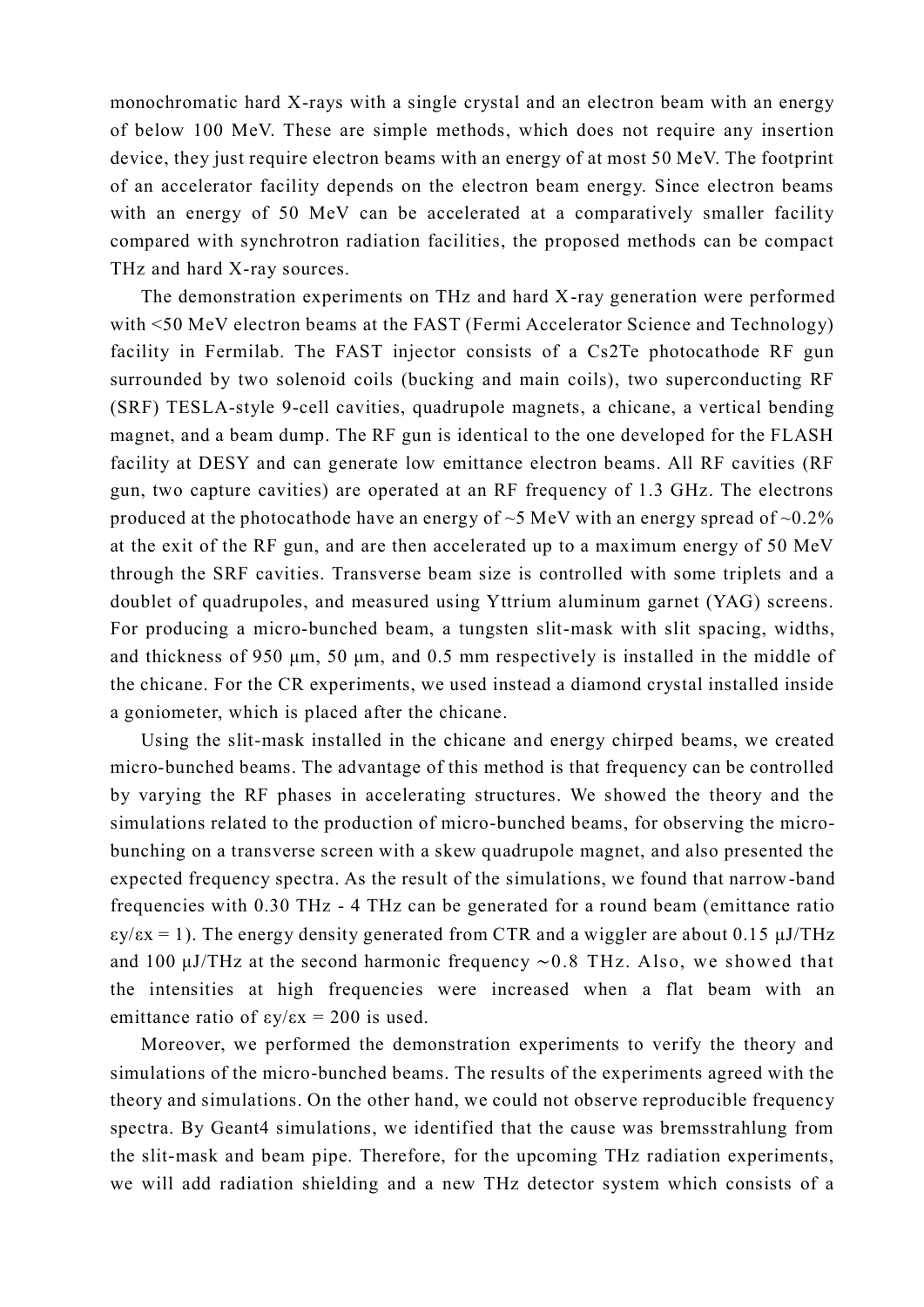monochromatic hard X-rays with a single crystal and an electron beam with an energy of below 100 MeV. These are simple methods, which does not require any insertion device, they just require electron beams with an energy of at most 50 MeV. The footprint of an accelerator facility depends on the electron beam energy. Since electron beams with an energy of 50 MeV can be accelerated at a comparatively smaller facility compared with synchrotron radiation facilities, the proposed methods can be compact THz and hard X-ray sources.

The demonstration experiments on THz and hard X-ray generation were performed with <50 MeV electron beams at the FAST (Fermi Accelerator Science and Technology) facility in Fermilab. The FAST injector consists of a Cs2Te photocathode RF gun surrounded by two solenoid coils (bucking and main coils), two superconducting RF (SRF) TESLA-style 9-cell cavities, quadrupole magnets, a chicane, a vertical bending magnet, and a beam dump. The RF gun is identical to the one developed for the FLASH facility at DESY and can generate low emittance electron beams. All RF cavities (RF gun, two capture cavities) are operated at an RF frequency of 1.3 GHz. The electrons produced at the photocathode have an energy of  $\sim$ 5 MeV with an energy spread of  $\sim$ 0.2% at the exit of the RF gun, and are then accelerated up to a maximum energy of 50 MeV through the SRF cavities. Transverse beam size is controlled with some triplets and a doublet of quadrupoles, and measured using Yttrium aluminum garnet (YAG) screens. For producing a micro-bunched beam, a tungsten slit-mask with slit spacing, widths, and thickness of 950 μm, 50 μm, and 0.5 mm respectively is installed in the middle of the chicane. For the CR experiments, we used instead a diamond crystal installed inside a goniometer, which is placed after the chicane.

Using the slit-mask installed in the chicane and energy chirped beams, we created micro-bunched beams. The advantage of this method is that frequency can be controlled by varying the RF phases in accelerating structures. We showed the theory and the simulations related to the production of micro-bunched beams, for observing the microbunching on a transverse screen with a skew quadrupole magnet, and also presented the expected frequency spectra. As the result of the simulations, we found that narrow-band frequencies with 0.30 THz - 4 THz can be generated for a round beam (emittance ratio  $\epsilon y/\epsilon x = 1$ ). The energy density generated from CTR and a wiggler are about 0.15  $\mu$ J/THz and 100 μJ/THz at the second harmonic frequency ∼0.8 THz. Also, we showed that the intensities at high frequencies were increased when a flat beam with an emittance ratio of  $\epsilon y/\epsilon x = 200$  is used.

Moreover, we performed the demonstration experiments to verify the theory and simulations of the micro-bunched beams. The results of the experiments agreed with the theory and simulations. On the other hand, we could not observe reproducible frequency spectra. By Geant4 simulations, we identified that the cause was bremsstrahlung from the slit-mask and beam pipe. Therefore, for the upcoming THz radiation experiments, we will add radiation shielding and a new THz detector system which consists of a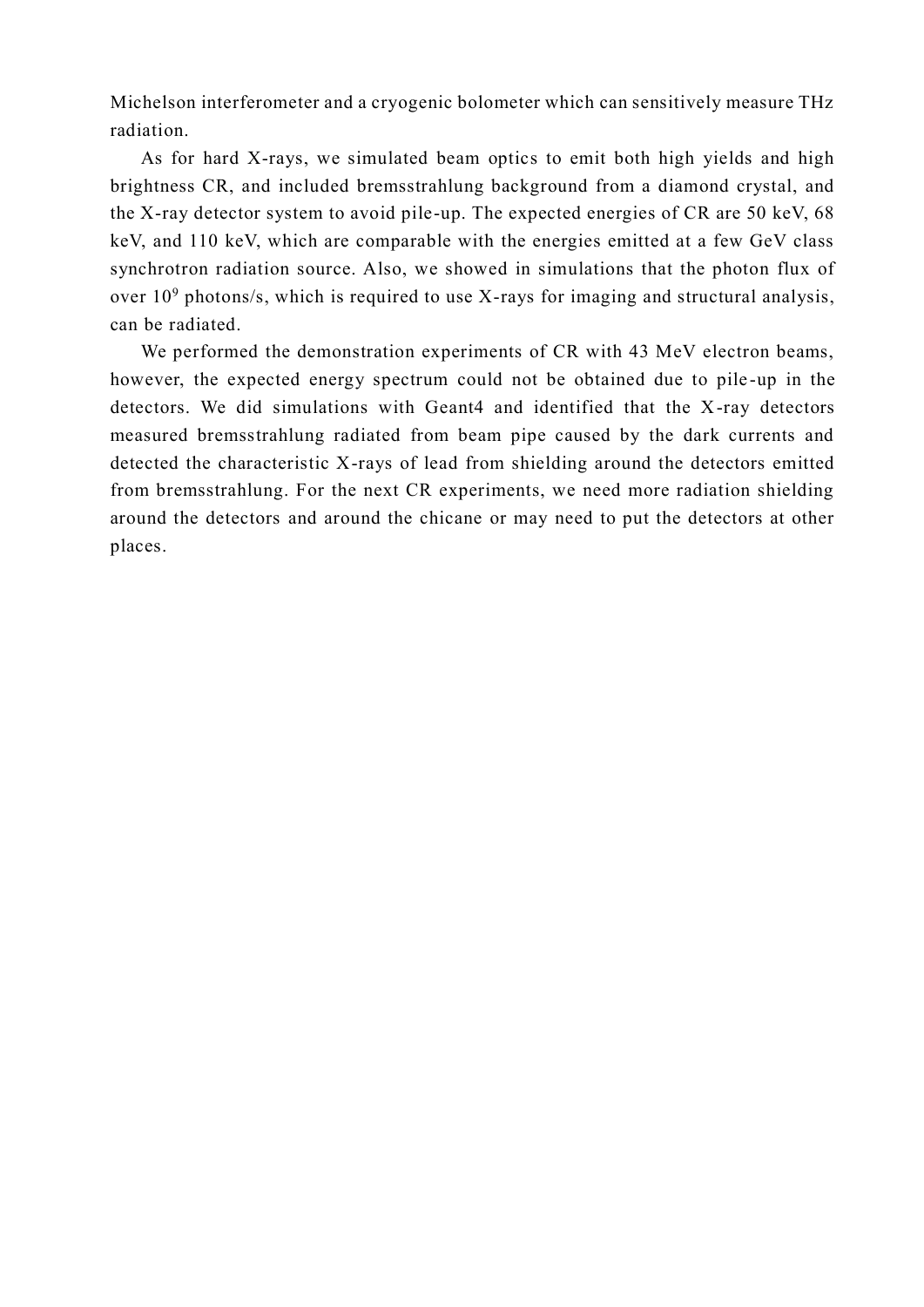Michelson interferometer and a cryogenic bolometer which can sensitively measure THz radiation.

As for hard X-rays, we simulated beam optics to emit both high yields and high brightness CR, and included bremsstrahlung background from a diamond crystal, and the X-ray detector system to avoid pile-up. The expected energies of CR are 50 keV, 68 keV, and 110 keV, which are comparable with the energies emitted at a few GeV class synchrotron radiation source. Also, we showed in simulations that the photon flux of over 10<sup>9</sup> photons/s, which is required to use X-rays for imaging and structural analysis, can be radiated.

We performed the demonstration experiments of CR with 43 MeV electron beams, however, the expected energy spectrum could not be obtained due to pile -up in the detectors. We did simulations with Geant4 and identified that the X-ray detectors measured bremsstrahlung radiated from beam pipe caused by the dark currents and detected the characteristic X-rays of lead from shielding around the detectors emitted from bremsstrahlung. For the next CR experiments, we need more radiation shielding around the detectors and around the chicane or may need to put the detectors at other places.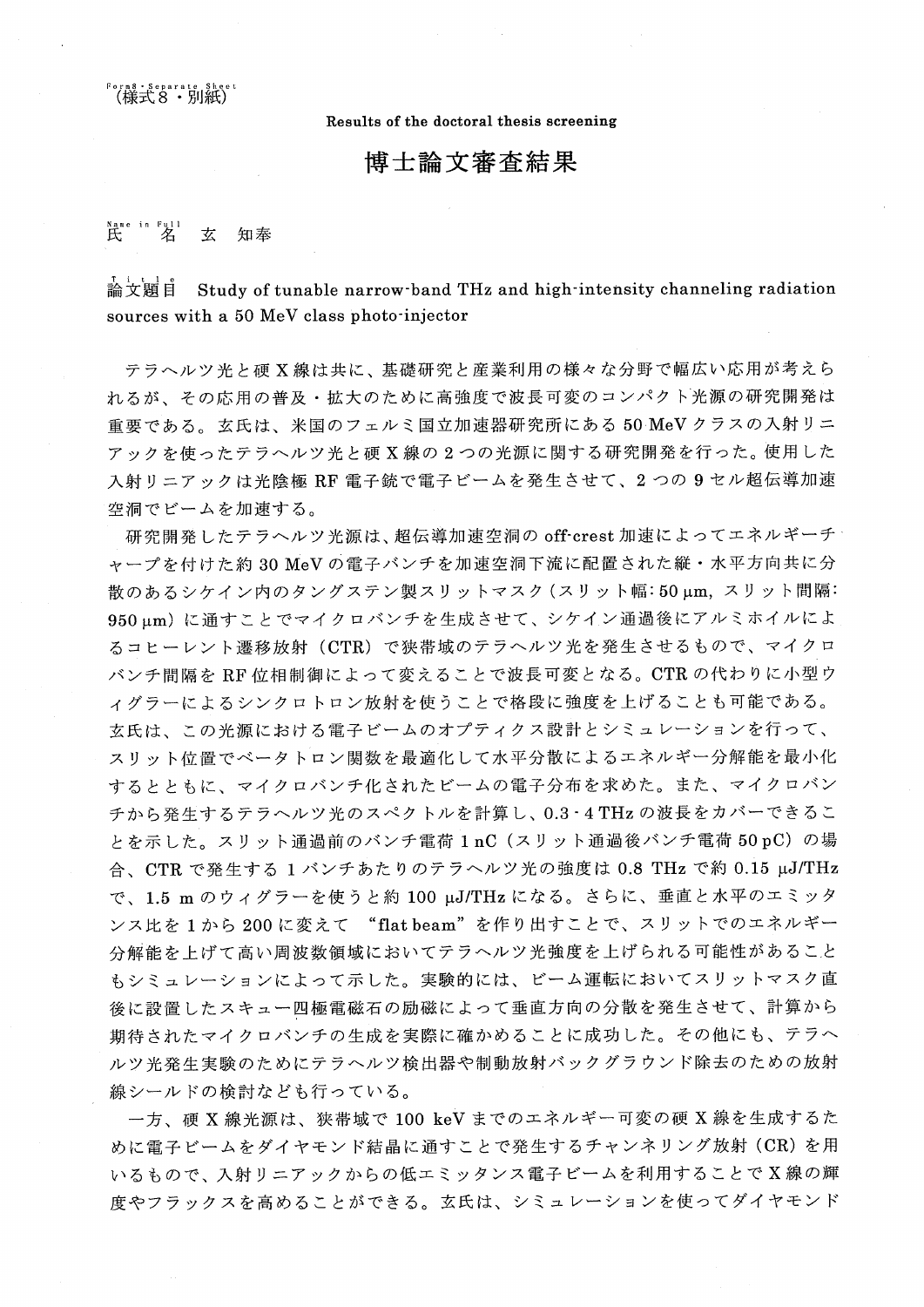。<br>(様式8・別紙)

Results of the doctoral thesis screening

博士論文審査結果

## $R$   $\mathbb{R}$   $\mathbb{Z}$ 玄 知奉

論文顯自 Study of tunable narrow band THz and high intensity channeling radiation sources with a 50 MeV class photo-injector

テラヘルツ光と硬 X線は共に、基礎研究と産業利用の様々な分野で幅広い応用が考えら れるが、その応用の普及・拡大のために高強度で波長可変のコンパクト光源の研究開発は 重要である。玄氏は、米国のフェルミ国立加速器研究所にある50 MeVクラスの入射リニ アックを使ったテラヘルツ光と硬 X 線の 2 つの光源に関する研究開発を行った。使用した 入射リニアックは光陰極 RF 電子銃で電子ビームを発生させて、2つの9セル超伝導加速 空洞でビームを加速する。

研究開発したテラヘルツ光源は、超伝導加速空洞の off-crest 加速によってエネルギーチ ャープを付けた約30 MeVの電子バンチを加速空洞下流に配置された縦・水平方向共に分 散のあるシケイン内のタングステン製スリットマスク (スリット幅:50μm, スリット間隔: 950μm)に通すことでマイクロバンチを生成させて、シケイン通過後にアルミホイルによ るコヒーレント遷移放射 (CTR) で狭帯域のテラヘルツ光を発生させるもので、マイクロ バンチ間隔を RF 位相制御によって変えることで波長可変となる。CTR の代わりに小型ウ ィグラーによるシンクロトロン放射を使うことで格段に強度を上げることも可能である。 玄氏は、この光源における電子ビームのオプティクス設計とシミュレーションを行って、 スリット位置でベータトロン関数を最適化して水平分散によるエネルギー分解能を最小化 するとともに、マイクロバンチ化されたビームの電子分布を求めた。また、マイクロバン チから発生するテラヘルツ光のスペクトルを計算し、0.3·4 THz の波長をカバーできるこ とを示した。スリット通過前のバンチ電荷 1 nC (スリット通過後バンチ電荷 50 pC) の場 合、CTR で発生する 1 バンチあたりのテラヘルツ光の強度は 0.8 THz で約 0.15 μJ/THz で、1.5 m のウィグラーを使うと約 100 μJ/THz になる。さらに、垂直と水平のエミッタ ンス比を1から200に変えて "flat beam"を作り出すことで、スリットでのエネルギー 分解能を上げて高い周波数領域においてテラヘルツ光強度を上げられる可能性があること もシミュレーションによって示した。実験的には、ビーム運転においてスリットマスク直 後に設置したスキュー四極電磁石の励磁によって垂直方向の分散を発生させて、計算から 期待されたマイクロバンチの生成を実際に確かめることに成功した。その他にも、テラへ ルツ光発生実験のためにテラヘルツ検出器や制動放射バックグラウンド除去のための放射 線シールドの検討なども行っている。

一方、硬 X 線光源は、狭帯域で 100 keV までのエネルギー可変の硬 X 線を生成するた めに電子ビームをダイヤモンド結晶に通すことで発生するチャンネリング放射 (CR)を用 いるもので、入射リニアックからの低エミッタンス電子ビームを利用することでX線の輝 度やフラックスを高めることができる。玄氏は、シミュレーションを使ってダイヤモンド